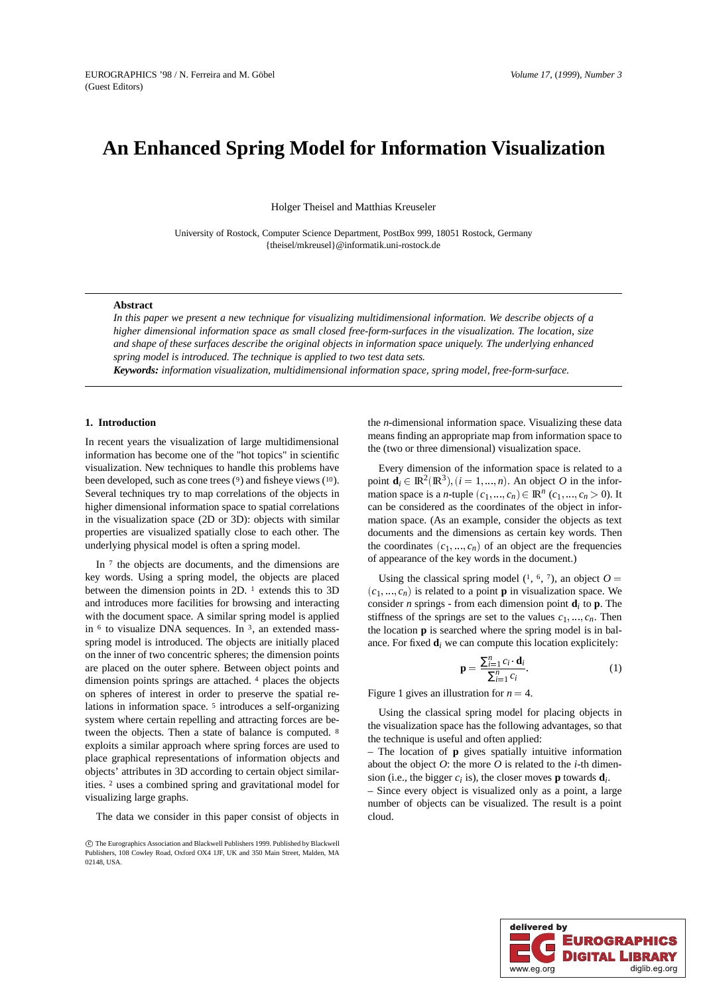# **An Enhanced Spring Model for Information Visualization**

Holger Theisel and Matthias Kreuseler

University of Rostock, Computer Science Department, PostBox 999, 18051 Rostock, Germany {theisel/mkreusel}@informatik.uni-rostock.de

# **Abstract**

*In this paper we present a new technique for visualizing multidimensional information. We describe objects of a higher dimensional information space as small closed free-form-surfaces in the visualization. The location, size and shape of these surfaces describe the original objects in information space uniquely. The underlying enhanced spring model is introduced. The technique is applied to two test data sets.*

*Keywords: information visualization, multidimensional information space, spring model, free-form-surface.*

# **1. Introduction**

In recent years the visualization of large multidimensional information has become one of the "hot topics" in scientific visualization. New techniques to handle this problems have been developed, such as cone trees  $(9)$  and fisheye views  $(10)$ . Several techniques try to map correlations of the objects in higher dimensional information space to spatial correlations in the visualization space (2D or 3D): objects with similar properties are visualized spatially close to each other. The underlying physical model is often a spring model.

In  $\frac{7}{1}$  the objects are documents, and the dimensions are key words. Using a spring model, the objects are placed between the dimension points in 2D. <sup>1</sup> extends this to 3D and introduces more facilities for browsing and interacting with the document space. A similar spring model is applied in  $6$  to visualize DNA sequences. In  $3$ , an extended massspring model is introduced. The objects are initially placed on the inner of two concentric spheres; the dimension points are placed on the outer sphere. Between object points and dimension points springs are attached. <sup>4</sup> places the objects on spheres of interest in order to preserve the spatial relations in information space. <sup>5</sup> introduces a self-organizing system where certain repelling and attracting forces are between the objects. Then a state of balance is computed. <sup>8</sup> exploits a similar approach where spring forces are used to place graphical representations of information objects and objects' attributes in 3D according to certain object similarities. <sup>2</sup> uses a combined spring and gravitational model for visualizing large graphs.

The data we consider in this paper consist of objects in

the *n*-dimensional information space. Visualizing these data means finding an appropriate map from information space to the (two or three dimensional) visualization space.

Every dimension of the information space is related to a point  $\mathbf{d}_i \in \mathbb{R}^2(\mathbb{R}^3), (i = 1, ..., n)$ . An object O in the information space is a *n*-tuple  $(c_1, \ldots, c_n) \in \mathbb{R}^n$   $(c_1, \ldots, c_n > 0)$ . It can be considered as the coordinates of the object in information space. (As an example, consider the objects as text documents and the dimensions as certain key words. Then the coordinates  $(c_1, \ldots, c_n)$  of an object are the frequencies of appearance of the key words in the document.)

Using the classical spring model  $(1, 6, 7)$ , an object  $O =$  $(c_1, ..., c_n)$  is related to a point **p** in visualization space. We consider *n* springs - from each dimension point **d***<sup>i</sup>* to **p**. The stiffness of the springs are set to the values  $c_1, \ldots, c_n$ . Then the location **p** is searched where the spring model is in balance. For fixed  $\mathbf{d}_i$  we can compute this location explicitely:

$$
\mathbf{p} = \frac{\sum_{i=1}^{n} c_i \mathbf{d}_i}{\sum_{i=1}^{n} c_i}.
$$
 (1)

Figure 1 gives an illustration for  $n = 4$ .

Using the classical spring model for placing objects in the visualization space has the following advantages, so that the technique is useful and often applied:

– The location of **p** gives spatially intuitive information about the object *O*: the more *O* is related to the *i*-th dimension (i.e., the bigger  $c_i$  is), the closer moves **p** towards  $\mathbf{d}_i$ .

– Since every object is visualized only as a point, a large number of objects can be visualized. The result is a point cloud.



c The Eurographics Association and Blackwell Publishers 1999. Published by Blackwell Publishers, 108 Cowley Road, Oxford OX4 1JF, UK and 350 Main Street, Malden, MA 02148, USA.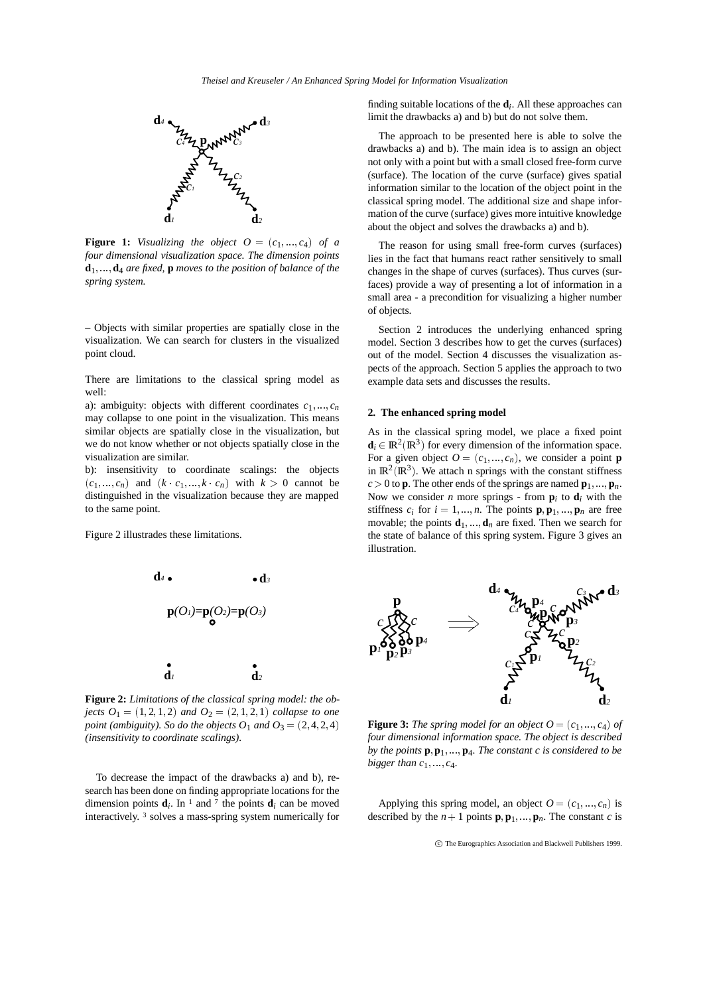

**Figure 1:** *Visualizing the object*  $O = (c_1, ..., c_4)$  *of a four dimensional visualization space. The dimension points*  $\mathbf{d}_1$   $\mathbf{d}_4$  *are fixed,* **p** *moves to the position of balance of the spring system.*

– Objects with similar properties are spatially close in the visualization. We can search for clusters in the visualized point cloud.

There are limitations to the classical spring model as well:

a): ambiguity: objects with different coordinates  $c_1, ..., c_n$ may collapse to one point in the visualization. This means similar objects are spatially close in the visualization, but we do not know whether or not objects spatially close in the visualization are similar.

b): insensitivity to coordinate scalings: the objects  $(c_1, \ldots, c_n)$  and  $(k \cdot c_1, \ldots, k \cdot c_n)$  with  $k > 0$  cannot be distinguished in the visualization because they are mapped to the same point.

Figure 2 illustrades these limitations.



**Figure 2:** *Limitations of the classical spring model: the objects*  $O_1 = (1, 2, 1, 2)$  *and*  $O_2 = (2, 1, 2, 1)$  *collapse to one point (ambiguity). So do the objects O*<sub>1</sub> *and O*<sub>3</sub> =  $(2, 4, 2, 4)$ *(insensitivity to coordinate scalings).*

To decrease the impact of the drawbacks a) and b), research has been done on finding appropriate locations for the dimension points  $\mathbf{d}_i$ . In <sup>1</sup> and <sup>7</sup> the points  $\mathbf{d}_i$  can be moved interactively. <sup>3</sup> solves a mass-spring system numerically for

finding suitable locations of the  $\mathbf{d}_i$ . All these approaches can limit the drawbacks a) and b) but do not solve them.

The approach to be presented here is able to solve the drawbacks a) and b). The main idea is to assign an object not only with a point but with a small closed free-form curve (surface). The location of the curve (surface) gives spatial information similar to the location of the object point in the classical spring model. The additional size and shape information of the curve (surface) gives more intuitive knowledge about the object and solves the drawbacks a) and b).

The reason for using small free-form curves (surfaces) lies in the fact that humans react rather sensitively to small changes in the shape of curves (surfaces). Thus curves (surfaces) provide a way of presenting a lot of information in a small area - a precondition for visualizing a higher number of objects.

Section 2 introduces the underlying enhanced spring model. Section 3 describes how to get the curves (surfaces) out of the model. Section 4 discusses the visualization aspects of the approach. Section 5 applies the approach to two example data sets and discusses the results.

# **2. The enhanced spring model**

As in the classical spring model, we place a fixed point  $\mathbf{d}_i \in \mathbb{R}^2(\mathbb{R}^3)$  for every dimension of the information space. For a given object  $O = (c_1, ..., c_n)$ , we consider a point **p** in  $\mathbb{R}^2(\mathbb{R}^3)$ . We attach n springs with the constant stiffness  $c > 0$  to **p**. The other ends of the springs are named  $\mathbf{p}_1, \dots, \mathbf{p}_n$ . Now we consider *n* more springs - from  $\mathbf{p}_i$  to  $\mathbf{d}_i$  with the stiffness  $c_i$  for  $i = 1, ..., n$ . The points  $\mathbf{p}, \mathbf{p}_1, ..., \mathbf{p}_n$  are free movable; the points  $\mathbf{d}_1$ , ...,  $\mathbf{d}_n$  are fixed. Then we search for the state of balance of this spring system. Figure 3 gives an illustration.



**Figure 3:** *The spring model for an object*  $O = (c_1, ..., c_4)$  *of four dimensional information space. The object is described by the points* **p**; **p**<sup>1</sup> ; :::; **p**4*. The constant c is considered to be bigger than*  $c_1$ ,  $\ldots$ ,  $c_4$ .

Applying this spring model, an object  $O = (c_1, ..., c_n)$  is described by the  $n+1$  points  $\mathbf{p}, \mathbf{p}_1, \dots, \mathbf{p}_n$ . The constant *c* is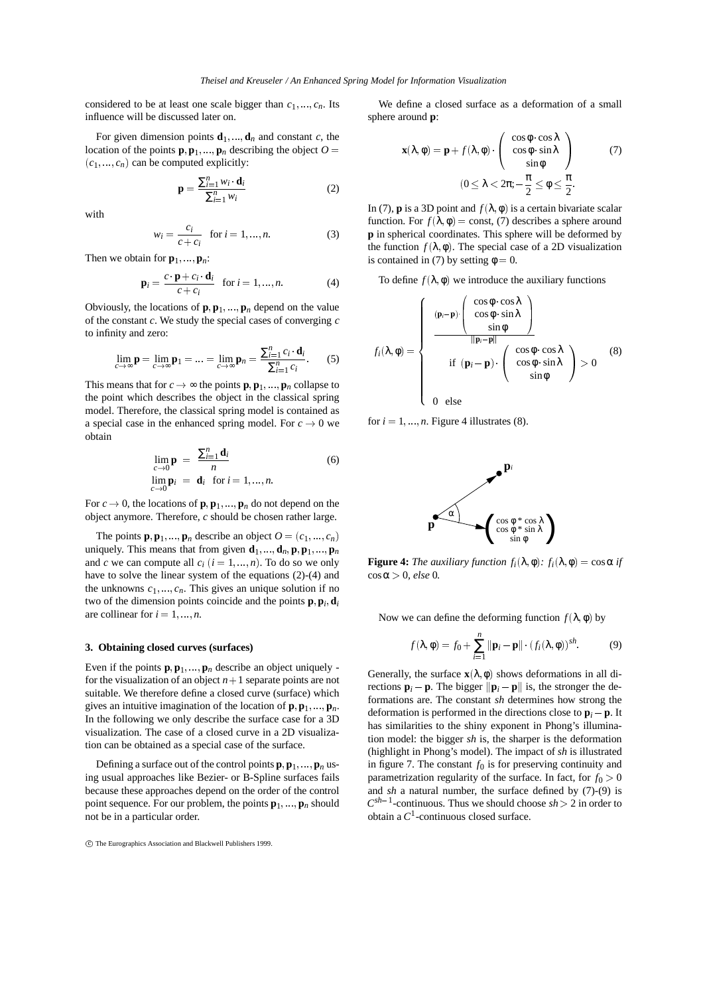considered to be at least one scale bigger than  $c_1, \ldots, c_n$ . Its influence will be discussed later on.

For given dimension points  $\mathbf{d}_1$ ,  $\mathbf{d}_n$  and constant *c*, the location of the points  $\mathbf{p}, \mathbf{p}_1, \dots, \mathbf{p}_n$  describing the object  $O =$  $(c_1, \ldots, c_n)$  can be computed explicitly:

$$
\mathbf{p} = \frac{\sum_{i=1}^{n} w_i \cdot \mathbf{d}_i}{\sum_{i=1}^{n} w_i}
$$
 (2)

with

$$
w_i = \frac{c_i}{c + c_i} \text{ for } i = 1, ..., n. \tag{3}
$$

Then we obtain for  $\mathbf{p}_1$ , ...,  $\mathbf{p}_n$ :

$$
\mathbf{p}_i = \frac{c \cdot \mathbf{p} + c_i \cdot \mathbf{d}_i}{c + c_i} \quad \text{for } i = 1, \dots, n. \tag{4}
$$

Obviously, the locations of  $\mathbf{p}, \mathbf{p}_1, \ldots, \mathbf{p}_n$  depend on the value of the constant *c*. We study the special cases of converging *c* to infinity and zero:

$$
\lim_{c \to \infty} \mathbf{p} = \lim_{c \to \infty} \mathbf{p}_1 = \dots = \lim_{c \to \infty} \mathbf{p}_n = \frac{\sum_{i=1}^n c_i \cdot \mathbf{d}_i}{\sum_{i=1}^n c_i}.
$$
 (5)

This means that for  $c \rightarrow \infty$  the points **p**, **p**<sub>1</sub>, ..., **p**<sub>*n*</sub> collapse to the point which describes the object in the classical spring model. Therefore, the classical spring model is contained as a special case in the enhanced spring model. For  $c \to 0$  we obtain

$$
\lim_{\substack{c \to 0 \\ \lim \mathbf{p}_i = \mathbf{q}_i}} \mathbf{p} = \frac{\sum_{i=1}^n \mathbf{d}_i}{n}
$$
\n
$$
\lim_{c \to 0} \mathbf{p}_i = \mathbf{d}_i \text{ for } i = 1, ..., n.
$$
\n(6)

For  $c \rightarrow 0$ , the locations of **p**<sub>1</sub> **p**<sub>1</sub>, ..., **p**<sub>*n*</sub> do not depend on the object anymore. Therefore, *c* should be chosen rather large.

The points  $\mathbf{p}, \mathbf{p}_1, \dots, \mathbf{p}_n$  describe an object  $O = (c_1, \dots, c_n)$ uniquely. This means that from given  $\mathbf{d}_1$ , ...,  $\mathbf{d}_n$ ,  $\mathbf{p}, \mathbf{p}_1$ , ...,  $\mathbf{p}_n$ and *c* we can compute all  $c_i$  ( $i = 1,...,n$ ). To do so we only have to solve the linear system of the equations (2)-(4) and the unknowns  $c_1, ..., c_n$ . This gives an unique solution if no two of the dimension points coincide and the points  $\mathbf{p}, \mathbf{p}_i, \mathbf{d}_i$ are collinear for  $i = 1, \ldots, n$ .

#### **3. Obtaining closed curves (surfaces)**

Even if the points  $\mathbf{p}, \mathbf{p}_1, \dots, \mathbf{p}_n$  describe an object uniquely for the visualization of an object  $n+1$  separate points are not suitable. We therefore define a closed curve (surface) which gives an intuitive imagination of the location of  $\mathbf{p}, \mathbf{p}_1, \ldots, \mathbf{p}_n$ . In the following we only describe the surface case for a 3D visualization. The case of a closed curve in a 2D visualization can be obtained as a special case of the surface.

Defining a surface out of the control points  $\mathbf{p}, \mathbf{p}_1, \ldots, \mathbf{p}_n$  using usual approaches like Bezier- or B-Spline surfaces fails because these approaches depend on the order of the control point sequence. For our problem, the points  $\mathbf{p}_1$ ,  $\ldots$ ,  $\mathbf{p}_n$  should not be in a particular order.

We define a closed surface as a deformation of a small sphere around **p**:

$$
\mathbf{x}(\lambda, \phi) = \mathbf{p} + f(\lambda, \phi) \cdot \begin{pmatrix} \cos \phi \cdot \cos \lambda \\ \cos \phi \cdot \sin \lambda \\ \sin \phi \end{pmatrix}
$$
 (7)  

$$
(0 \le \lambda < 2\pi; -\frac{\pi}{2} \le \phi \le \frac{\pi}{2}.
$$

In (7), **p** is a 3D point and  $f(\lambda, \phi)$  is a certain bivariate scalar function. For  $f(\lambda, \phi) = \text{const}$ , (7) describes a sphere around **p** in spherical coordinates. This sphere will be deformed by the function  $f(\lambda, \phi)$ . The special case of a 2D visualization is contained in (7) by setting  $\phi = 0$ .

To define 
$$
f(\lambda, \phi)
$$
 we introduce the auxiliary functions

$$
f_i(\lambda, \phi) = \begin{cases} & (\mathbf{p}_i - \mathbf{p}) \left( \begin{array}{c} \cos \phi \cdot \cos \lambda \\ \cos \phi \cdot \sin \lambda \end{array} \right) \\ & \frac{\sin \phi}{\|\mathbf{p}_i - \mathbf{p}\|} \\ & \text{if } (\mathbf{p}_i - \mathbf{p}) \cdot \left( \begin{array}{c} \cos \phi \cdot \cos \lambda \\ \cos \phi \cdot \sin \lambda \\ \sin \phi \end{array} \right) > 0 \\ & 0 \quad \text{else} \end{cases} \tag{8}
$$

for  $i = 1, \ldots, n$ . Figure 4 illustrates (8).



**Figure 4:** *The auxiliary function*  $f_i(\lambda, \phi)$ :  $f_i(\lambda, \phi) = \cos \alpha$  *if*  $\cos \alpha > 0$ , *else* 0.

Now we can define the deforming function  $f(\lambda, \phi)$  by

$$
f(\lambda, \phi) = f_0 + \sum_{i=1}^n \|\mathbf{p}_i - \mathbf{p}\| \cdot (f_i(\lambda, \phi))^{sh}.
$$
 (9)

Generally, the surface  $\mathbf{x}(\lambda, \phi)$  shows deformations in all directions  $\mathbf{p}_i - \mathbf{p}$ . The bigger  $\|\mathbf{p}_i - \mathbf{p}\|$  is, the stronger the deformations are. The constant *sh* determines how strong the deformation is performed in the directions close to  $\mathbf{p}_i - \mathbf{p}$ . It has similarities to the shiny exponent in Phong's illumination model: the bigger *sh* is, the sharper is the deformation (highlight in Phong's model). The impact of *sh* is illustrated in figure 7. The constant  $f_0$  is for preserving continuity and parametrization regularity of the surface. In fact, for  $f_0 > 0$ and *sh* a natural number, the surface defined by (7)-(9) is  $C^{sh-1}$ -continuous. Thus we should choose  $sh > 2$  in order to obtain a *C*1-continuous closed surface.

c The Eurographics Association and Blackwell Publishers 1999.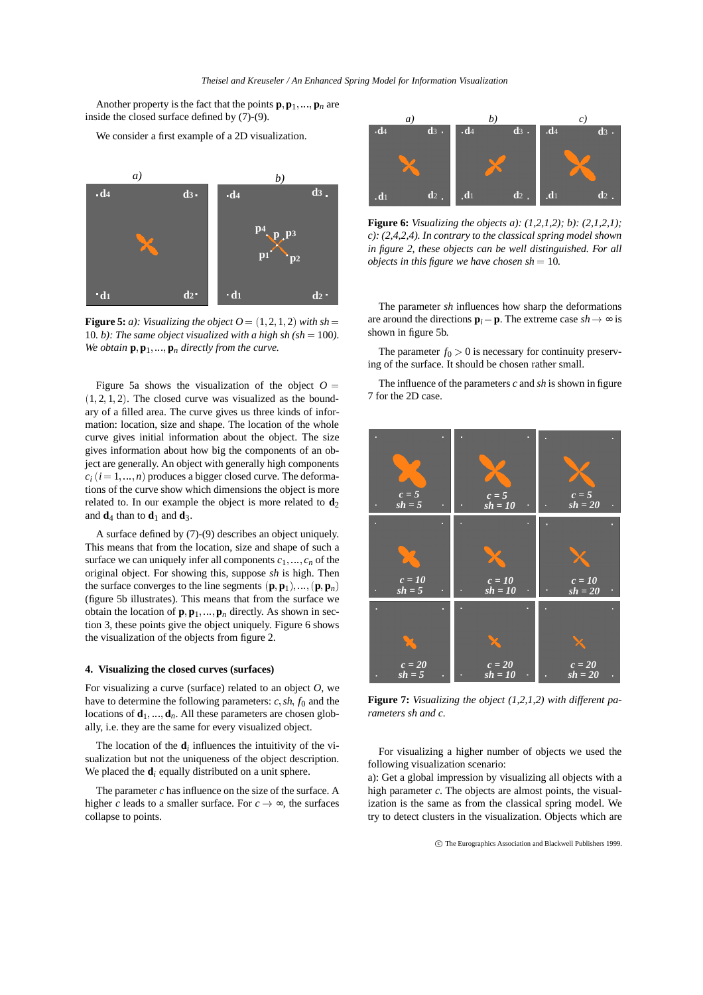Another property is the fact that the points  $\mathbf{p}, \mathbf{p}_1, \ldots, \mathbf{p}_n$  are inside the closed surface defined by (7)-(9).

We consider a first example of a 2D visualization.



**Figure 5:** *a*): Visualizing the object  $Q = (1, 2, 1, 2)$  with sh = 10*. b): The same object visualized with a high sh (sh = 100). We obtain*  $\mathbf{p}, \mathbf{p}_1, \ldots, \mathbf{p}_n$  *directly from the curve.* 

Figure 5a shows the visualization of the object  $O =$  $(1, 2, 1, 2)$ . The closed curve was visualized as the boundary of a filled area. The curve gives us three kinds of information: location, size and shape. The location of the whole curve gives initial information about the object. The size gives information about how big the components of an object are generally. An object with generally high components  $c_i$  ( $i = 1, \ldots, n$ ) produces a bigger closed curve. The deformations of the curve show which dimensions the object is more related to. In our example the object is more related to  $\mathbf{d}_2$ and  $\mathbf{d}_4$  than to  $\mathbf{d}_1$  and  $\mathbf{d}_3$ .

A surface defined by (7)-(9) describes an object uniquely. This means that from the location, size and shape of such a surface we can uniquely infer all components  $c_1, \ldots, c_n$  of the original object. For showing this, suppose *sh* is high. Then the surface converges to the line segments  $(\mathbf{p}, \mathbf{p}_1), ..., (\mathbf{p}, \mathbf{p}_n)$ (figure 5b illustrates). This means that from the surface we obtain the location of  $\mathbf{p}, \mathbf{p}_1, \dots, \mathbf{p}_n$  directly. As shown in section 3, these points give the object uniquely. Figure 6 shows the visualization of the objects from figure 2.

#### **4. Visualizing the closed curves (surfaces)**

For visualizing a curve (surface) related to an object *O*, we have to determine the following parameters:  $c$ ,  $sh$ ,  $f_0$  and the locations of  $\mathbf{d}_1$ , ...,  $\mathbf{d}_n$ . All these parameters are chosen globally, i.e. they are the same for every visualized object.

The location of the  $\mathbf{d}_i$  influences the intuitivity of the visualization but not the uniqueness of the object description. We placed the  $\mathbf{d}_i$  equally distributed on a unit sphere.

The parameter *c* has influence on the size of the surface. A higher *c* leads to a smaller surface. For  $c \rightarrow \infty$ , the surfaces collapse to points.



**Figure 6:** *Visualizing the objects a): (1,2,1,2); b): (2,1,2,1); c): (2,4,2,4). In contrary to the classical spring model shown in figure 2, these objects can be well distinguished. For all objects in this figure we have chosen sh*  $= 10$ *.* 

The parameter *sh* influences how sharp the deformations are around the directions  $\mathbf{p}_i - \mathbf{p}$ . The extreme case  $sh \to \infty$  is shown in figure 5b.

The parameter  $f_0 > 0$  is necessary for continuity preserving of the surface. It should be chosen rather small.

The influence of the parameters *c* and *sh* is shown in figure 7 for the 2D case.



**Figure 7:** *Visualizing the object (1,2,1,2) with different parameters sh and c.*

For visualizing a higher number of objects we used the following visualization scenario:

a): Get a global impression by visualizing all objects with a high parameter *c*. The objects are almost points, the visualization is the same as from the classical spring model. We try to detect clusters in the visualization. Objects which are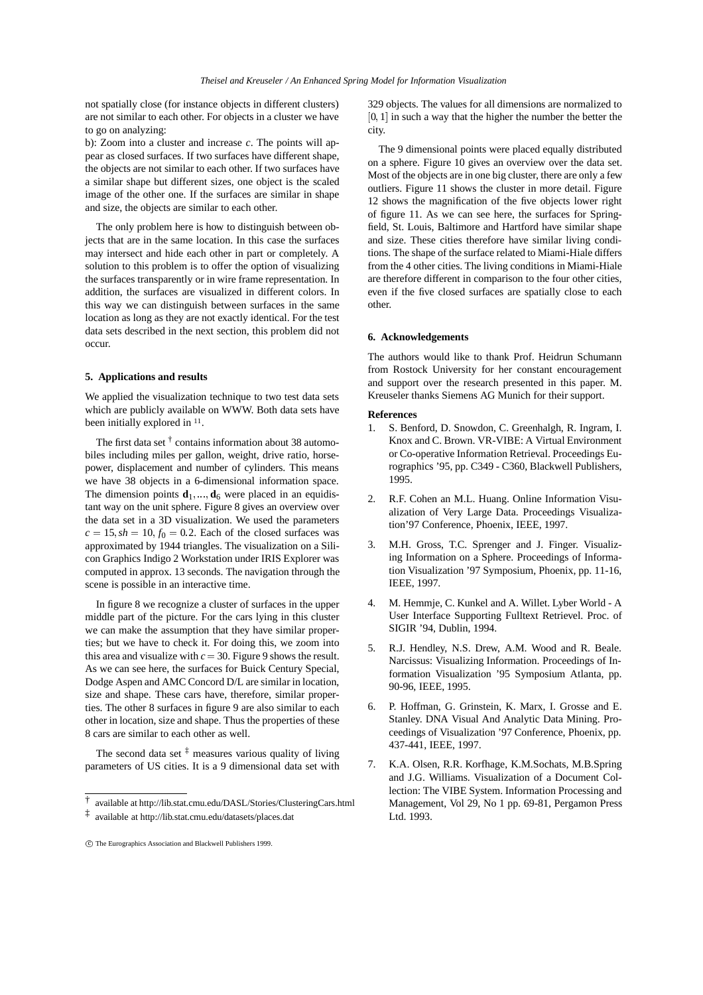not spatially close (for instance objects in different clusters) are not similar to each other. For objects in a cluster we have to go on analyzing:

b): Zoom into a cluster and increase *c*. The points will appear as closed surfaces. If two surfaces have different shape, the objects are not similar to each other. If two surfaces have a similar shape but different sizes, one object is the scaled image of the other one. If the surfaces are similar in shape and size, the objects are similar to each other.

The only problem here is how to distinguish between objects that are in the same location. In this case the surfaces may intersect and hide each other in part or completely. A solution to this problem is to offer the option of visualizing the surfaces transparently or in wire frame representation. In addition, the surfaces are visualized in different colors. In this way we can distinguish between surfaces in the same location as long as they are not exactly identical. For the test data sets described in the next section, this problem did not occur.

# **5. Applications and results**

We applied the visualization technique to two test data sets which are publicly available on WWW. Both data sets have been initially explored in  $11$ .

The first data set  $\dagger$  contains information about 38 automobiles including miles per gallon, weight, drive ratio, horsepower, displacement and number of cylinders. This means we have 38 objects in a 6-dimensional information space. The dimension points  $\mathbf{d}_1$ , ...,  $\mathbf{d}_6$  were placed in an equidistant way on the unit sphere. Figure 8 gives an overview over the data set in a 3D visualization. We used the parameters  $c = 15$ ,  $sh = 10$ ,  $f_0 = 0.2$ . Each of the closed surfaces was approximated by 1944 triangles. The visualization on a Silicon Graphics Indigo 2 Workstation under IRIS Explorer was computed in approx. 13 seconds. The navigation through the scene is possible in an interactive time.

In figure 8 we recognize a cluster of surfaces in the upper middle part of the picture. For the cars lying in this cluster we can make the assumption that they have similar properties; but we have to check it. For doing this, we zoom into this area and visualize with  $c = 30$ . Figure 9 shows the result. As we can see here, the surfaces for Buick Century Special, Dodge Aspen and AMC Concord D/L are similar in location, size and shape. These cars have, therefore, similar properties. The other 8 surfaces in figure 9 are also similar to each other in location, size and shape. Thus the properties of these 8 cars are similar to each other as well.

The second data set  $\frac{1}{x}$  measures various quality of living parameters of US cities. It is a 9 dimensional data set with 329 objects. The values for all dimensions are normalized to  $[0, 1]$  in such a way that the higher the number the better the city.

The 9 dimensional points were placed equally distributed on a sphere. Figure 10 gives an overview over the data set. Most of the objects are in one big cluster, there are only a few outliers. Figure 11 shows the cluster in more detail. Figure 12 shows the magnification of the five objects lower right of figure 11. As we can see here, the surfaces for Springfield, St. Louis, Baltimore and Hartford have similar shape and size. These cities therefore have similar living conditions. The shape of the surface related to Miami-Hiale differs from the 4 other cities. The living conditions in Miami-Hiale are therefore different in comparison to the four other cities, even if the five closed surfaces are spatially close to each other.

### **6. Acknowledgements**

The authors would like to thank Prof. Heidrun Schumann from Rostock University for her constant encouragement and support over the research presented in this paper. M. Kreuseler thanks Siemens AG Munich for their support.

# **References**

- 1. S. Benford, D. Snowdon, C. Greenhalgh, R. Ingram, I. Knox and C. Brown. VR-VIBE: A Virtual Environment or Co-operative Information Retrieval. Proceedings Eurographics '95, pp. C349 - C360, Blackwell Publishers, 1995.
- 2. R.F. Cohen an M.L. Huang. Online Information Visualization of Very Large Data. Proceedings Visualization'97 Conference, Phoenix, IEEE, 1997.
- 3. M.H. Gross, T.C. Sprenger and J. Finger. Visualizing Information on a Sphere. Proceedings of Information Visualization '97 Symposium, Phoenix, pp. 11-16, IEEE, 1997.
- 4. M. Hemmje, C. Kunkel and A. Willet. Lyber World A User Interface Supporting Fulltext Retrievel. Proc. of SIGIR '94, Dublin, 1994.
- 5. R.J. Hendley, N.S. Drew, A.M. Wood and R. Beale. Narcissus: Visualizing Information. Proceedings of Information Visualization '95 Symposium Atlanta, pp. 90-96, IEEE, 1995.
- 6. P. Hoffman, G. Grinstein, K. Marx, I. Grosse and E. Stanley. DNA Visual And Analytic Data Mining. Proceedings of Visualization '97 Conference, Phoenix, pp. 437-441, IEEE, 1997.
- 7. K.A. Olsen, R.R. Korfhage, K.M.Sochats, M.B.Spring and J.G. Williams. Visualization of a Document Collection: The VIBE System. Information Processing and Management, Vol 29, No 1 pp. 69-81, Pergamon Press Ltd. 1993.

<sup>†</sup> available at http://lib.stat.cmu.edu/DASL/Stories/ClusteringCars.html

<sup>‡</sup> available at http://lib.stat.cmu.edu/datasets/places.dat

c The Eurographics Association and Blackwell Publishers 1999.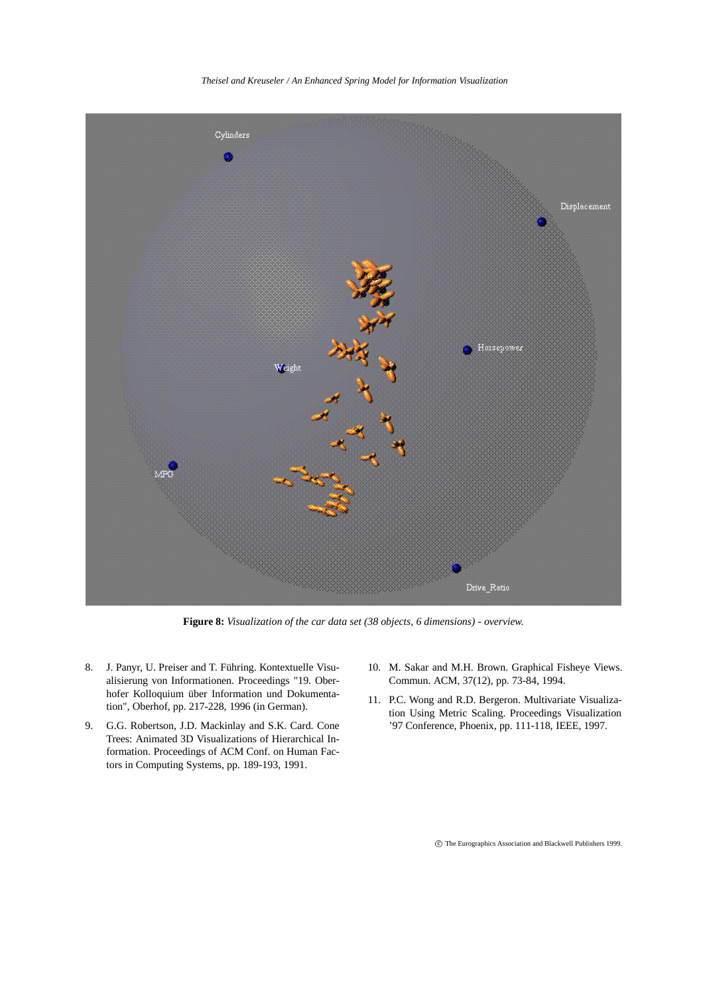*Theisel and Kreuseler / An Enhanced Spring Model for Information Visualization*



**Figure 8:** *Visualization of the car data set (38 objects, 6 dimensions) - overview.*

- 8. J. Panyr, U. Preiser and T. Führing. Kontextuelle Visualisierung von Informationen. Proceedings "19. Oberhofer Kolloquium über Information und Dokumentation", Oberhof, pp. 217-228, 1996 (in German).
- 9. G.G. Robertson, J.D. Mackinlay and S.K. Card. Cone Trees: Animated 3D Visualizations of Hierarchical Information. Proceedings of ACM Conf. on Human Factors in Computing Systems, pp. 189-193, 1991.
- 10. M. Sakar and M.H. Brown. Graphical Fisheye Views. Commun. ACM, 37(12), pp. 73-84, 1994.
- 11. P.C. Wong and R.D. Bergeron. Multivariate Visualization Using Metric Scaling. Proceedings Visualization '97 Conference, Phoenix, pp. 111-118, IEEE, 1997.

c The Eurographics Association and Blackwell Publishers 1999.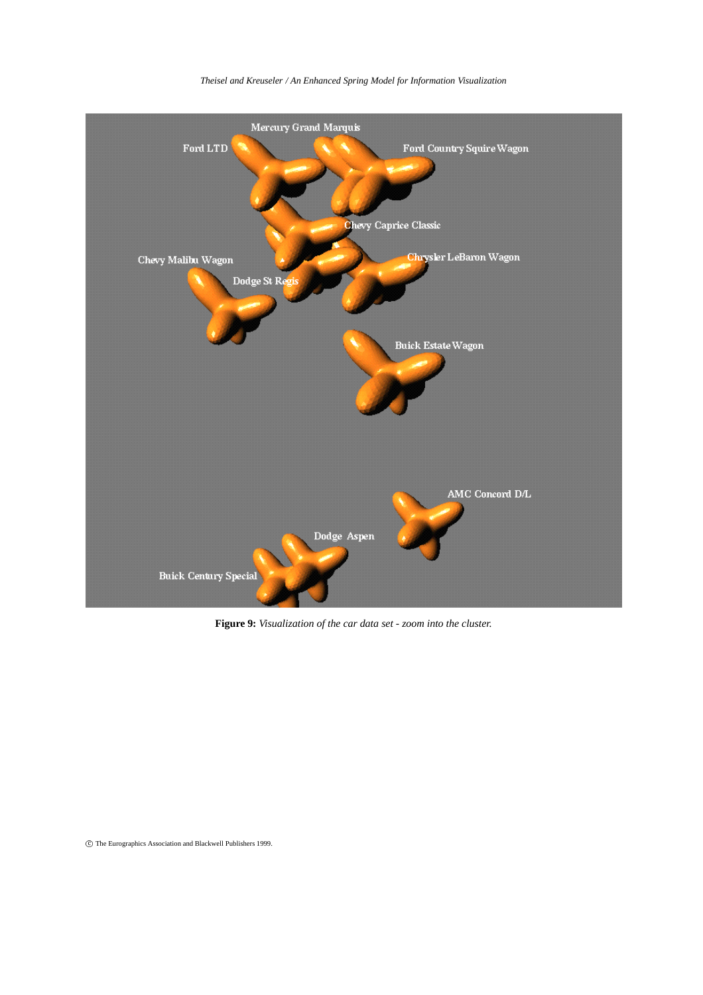

# *Theisel and Kreuseler / An Enhanced Spring Model for Information Visualization*

**Figure 9:** *Visualization of the car data set - zoom into the cluster.*

c The Eurographics Association and Blackwell Publishers 1999.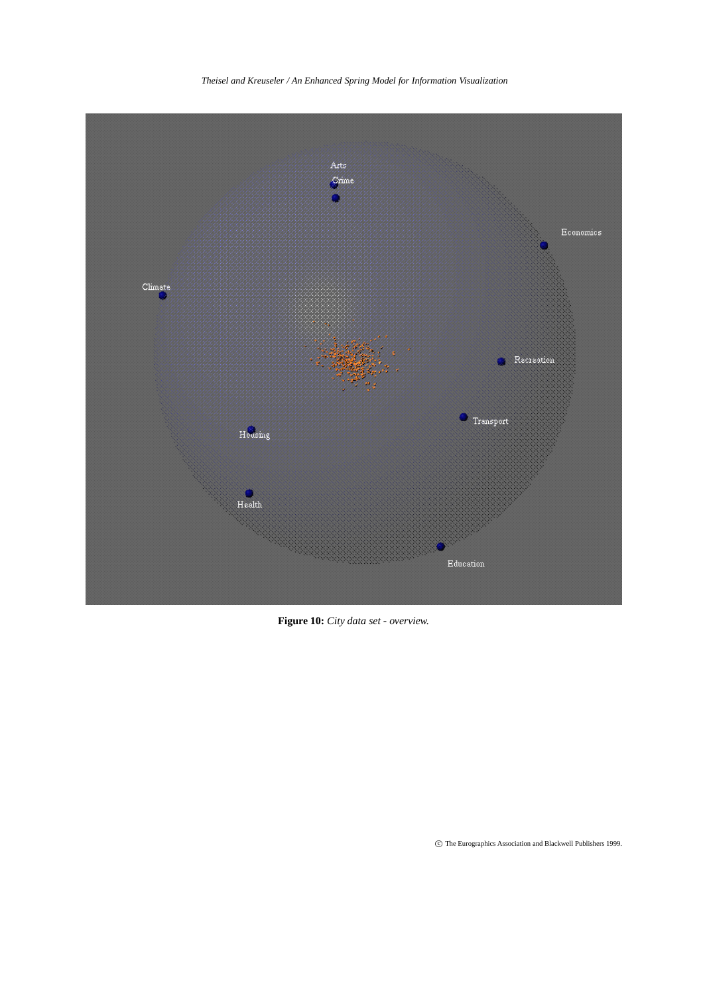

*Theisel and Kreuseler / An Enhanced Spring Model for Information Visualization*

**Figure 10:** *City data set - overview.*

 $\copyright$  The Eurographics Association and Blackwell Publishers 1999.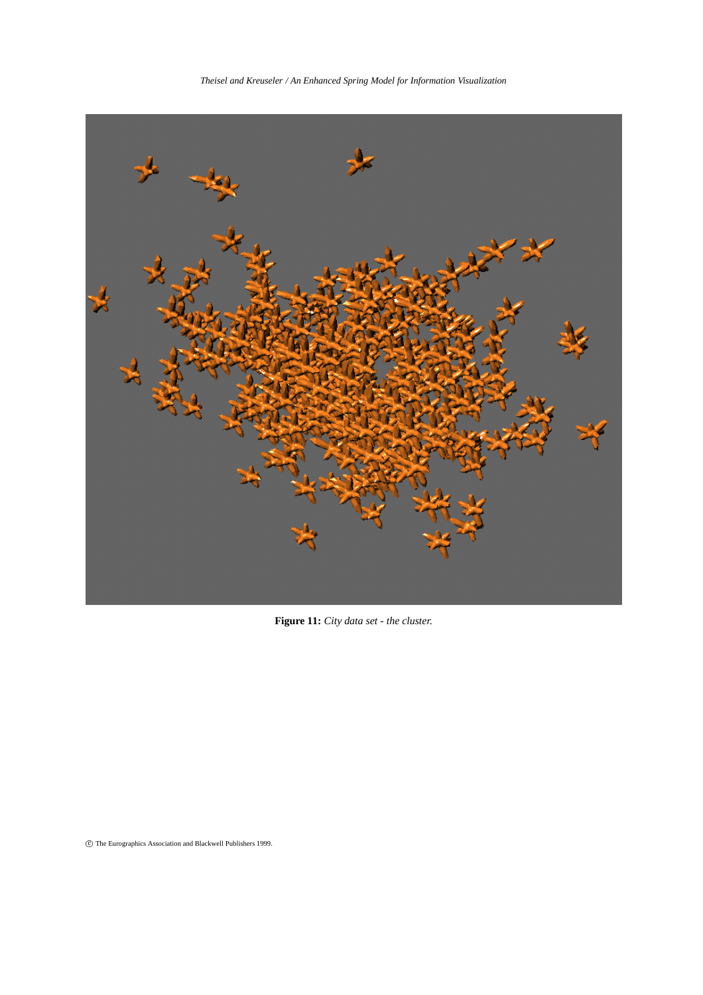*Theisel and Kreuseler / An Enhanced Spring Model for Information Visualization*



**Figure 11:** *City data set - the cluster.*

 $\copyright$  The Eurographics Association and Blackwell Publishers 1999.